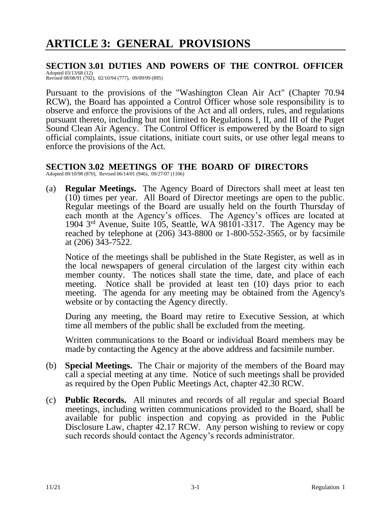# **SECTION 3.01 DUTIES AND POWERS OF THE CONTROL OFFICER**

Adopted 03/13/68 (12) Revised 08/08/91 (702), 02/10/94 (777), 09/09/99 (895)

Pursuant to the provisions of the "Washington Clean Air Act" (Chapter 70.94 RCW), the Board has appointed a Control Officer whose sole responsibility is to observe and enforce the provisions of the Act and all orders, rules, and regulations pursuant thereto, including but not limited to Regulations I, II, and III of the Puget Sound Clean Air Agency. The Control Officer is empowered by the Board to sign official complaints, issue citations, initiate court suits, or use other legal means to enforce the provisions of the Act.

#### **SECTION 3.02 MEETINGS OF THE BOARD OF DIRECTORS** Adopted 09/10/98 (870), Revised 06/14/01 (946), 09/27/07 (1106)

(a) **Regular Meetings.** The Agency Board of Directors shall meet at least ten (10) times per year. All Board of Director meetings are open to the public. Regular meetings of the Board are usually held on the fourth Thursday of each month at the Agency's offices. The Agency's offices are located at 1904 3rd Avenue, Suite 105, Seattle, WA 98101-3317. The Agency may be reached by telephone at (206) 343-8800 or 1-800-552-3565, or by facsimile at (206) 343-7522.

Notice of the meetings shall be published in the State Register, as well as in the local newspapers of general circulation of the largest city within each member county. The notices shall state the time, date, and place of each meeting. Notice shall be provided at least ten (10) days prior to each meeting. The agenda for any meeting may be obtained from the Agency's website or by contacting the Agency directly.

During any meeting, the Board may retire to Executive Session, at which time all members of the public shall be excluded from the meeting.

Written communications to the Board or individual Board members may be made by contacting the Agency at the above address and facsimile number.

- (b) **Special Meetings.** The Chair or majority of the members of the Board may call a special meeting at any time. Notice of such meetings shall be provided as required by the Open Public Meetings Act, chapter 42.30 RCW.
- (c) **Public Records.** All minutes and records of all regular and special Board meetings, including written communications provided to the Board, shall be available for public inspection and copying as provided in the Public Disclosure Law, chapter 42.17 RCW. Any person wishing to review or copy such records should contact the Agency's records administrator.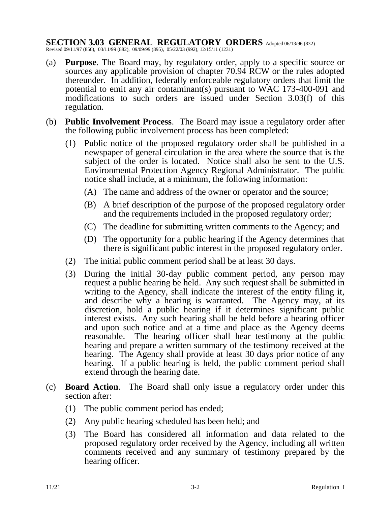# **SECTION 3.03 GENERAL REGULATORY ORDERS** Adopted 06/13/96 (832)

Revised 09/11/97 (856), 03/11/99 (882), 09/09/99 (895), 05/22/03 (992), 12/15/11 (1231)

- (a) **Purpose**. The Board may, by regulatory order, apply to a specific source or sources any applicable provision of chapter 70.94 RCW or the rules adopted thereunder. In addition, federally enforceable regulatory orders that limit the potential to emit any air contaminant(s) pursuant to WAC 173-400-091 and modifications to such orders are issued under Section 3.03(f) of this regulation.
- (b) **Public Involvement Process**. The Board may issue a regulatory order after the following public involvement process has been completed:
	- (1) Public notice of the proposed regulatory order shall be published in a newspaper of general circulation in the area where the source that is the subject of the order is located. Notice shall also be sent to the U.S. Environmental Protection Agency Regional Administrator. The public notice shall include, at a minimum, the following information:
		- (A) The name and address of the owner or operator and the source;
		- (B) A brief description of the purpose of the proposed regulatory order and the requirements included in the proposed regulatory order;
		- (C) The deadline for submitting written comments to the Agency; and
		- (D) The opportunity for a public hearing if the Agency determines that there is significant public interest in the proposed regulatory order.
	- (2) The initial public comment period shall be at least 30 days.
	- (3) During the initial 30-day public comment period, any person may request a public hearing be held. Any such request shall be submitted in writing to the Agency, shall indicate the interest of the entity filing it, and describe why a hearing is warranted. The Agency may, at its discretion, hold a public hearing if it determines significant public interest exists. Any such hearing shall be held before a hearing officer and upon such notice and at a time and place as the Agency deems reasonable. The hearing officer shall hear testimony at the public hearing and prepare a written summary of the testimony received at the hearing. The Agency shall provide at least 30 days prior notice of any hearing. If a public hearing is held, the public comment period shall extend through the hearing date.
- (c) **Board Action**. The Board shall only issue a regulatory order under this section after:
	- (1) The public comment period has ended;
	- (2) Any public hearing scheduled has been held; and
	- (3) The Board has considered all information and data related to the proposed regulatory order received by the Agency, including all written comments received and any summary of testimony prepared by the hearing officer.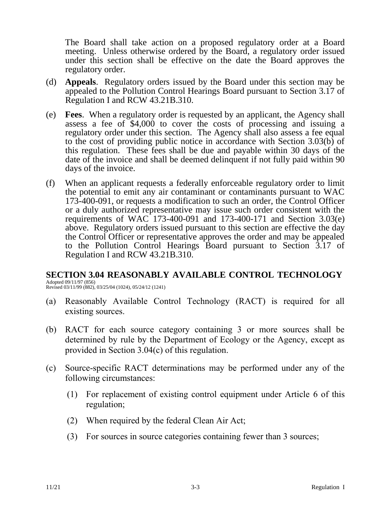The Board shall take action on a proposed regulatory order at a Board meeting. Unless otherwise ordered by the Board, a regulatory order issued under this section shall be effective on the date the Board approves the regulatory order.

- (d) **Appeals**. Regulatory orders issued by the Board under this section may be appealed to the Pollution Control Hearings Board pursuant to Section 3.17 of Regulation I and RCW 43.21B.310.
- (e) **Fees**. When a regulatory order is requested by an applicant, the Agency shall assess a fee of \$4,000 to cover the costs of processing and issuing a regulatory order under this section. The Agency shall also assess a fee equal to the cost of providing public notice in accordance with Section 3.03(b) of this regulation. These fees shall be due and payable within 30 days of the date of the invoice and shall be deemed delinquent if not fully paid within 90 days of the invoice.
- (f) When an applicant requests a federally enforceable regulatory order to limit the potential to emit any air contaminant or contaminants pursuant to WAC 173-400-091, or requests a modification to such an order, the Control Officer or a duly authorized representative may issue such order consistent with the requirements of WAC 173-400-091 and 173-400-171 and Section 3.03(e) above. Regulatory orders issued pursuant to this section are effective the day the Control Officer or representative approves the order and may be appealed to the Pollution Control Hearings Board pursuant to Section 3.17 of Regulation I and RCW 43.21B.310.

# **SECTION 3.04 REASONABLY AVAILABLE CONTROL TECHNOLOGY**

Adopted 09/11/97 (856) Revised 03/11/99 (882), 03/25/04 (1024), 05/24/12 (1241)

- (a) Reasonably Available Control Technology (RACT) is required for all existing sources.
- (b) RACT for each source category containing 3 or more sources shall be determined by rule by the Department of Ecology or the Agency, except as provided in Section 3.04(c) of this regulation.
- (c) Source-specific RACT determinations may be performed under any of the following circumstances:
	- (1) For replacement of existing control equipment under Article 6 of this regulation;
	- (2) When required by the federal Clean Air Act;
	- (3) For sources in source categories containing fewer than 3 sources;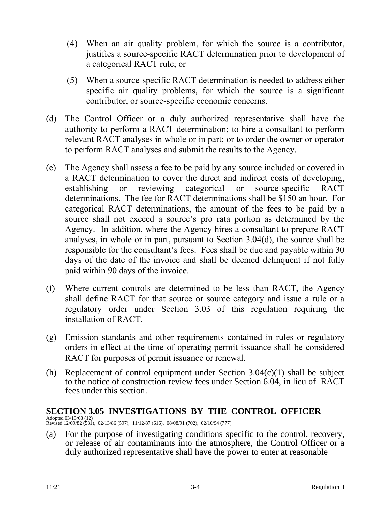- (4) When an air quality problem, for which the source is a contributor, justifies a source-specific RACT determination prior to development of a categorical RACT rule; or
- (5) When a source-specific RACT determination is needed to address either specific air quality problems, for which the source is a significant contributor, or source-specific economic concerns.
- (d) The Control Officer or a duly authorized representative shall have the authority to perform a RACT determination; to hire a consultant to perform relevant RACT analyses in whole or in part; or to order the owner or operator to perform RACT analyses and submit the results to the Agency.
- (e) The Agency shall assess a fee to be paid by any source included or covered in a RACT determination to cover the direct and indirect costs of developing, establishing or reviewing categorical or source-specific RACT determinations. The fee for RACT determinations shall be \$150 an hour. For categorical RACT determinations, the amount of the fees to be paid by a source shall not exceed a source's pro rata portion as determined by the Agency. In addition, where the Agency hires a consultant to prepare RACT analyses, in whole or in part, pursuant to Section 3.04(d), the source shall be responsible for the consultant's fees. Fees shall be due and payable within 30 days of the date of the invoice and shall be deemed delinquent if not fully paid within 90 days of the invoice.
- (f) Where current controls are determined to be less than RACT, the Agency shall define RACT for that source or source category and issue a rule or a regulatory order under Section 3.03 of this regulation requiring the installation of RACT.
- (g) Emission standards and other requirements contained in rules or regulatory orders in effect at the time of operating permit issuance shall be considered RACT for purposes of permit issuance or renewal.
- (h) Replacement of control equipment under Section  $3.04(c)(1)$  shall be subject to the notice of construction review fees under Section 6.04, in lieu of RACT fees under this section.

### **SECTION 3.05 INVESTIGATIONS BY THE CONTROL OFFICER**

Adopted 03/13/68 (12) Revised 12/09/82 (531), 02/13/86 (597), 11/12/87 (616), 08/08/91 (702), 02/10/94 (777)

(a) For the purpose of investigating conditions specific to the control, recovery, or release of air contaminants into the atmosphere, the Control Officer or a duly authorized representative shall have the power to enter at reasonable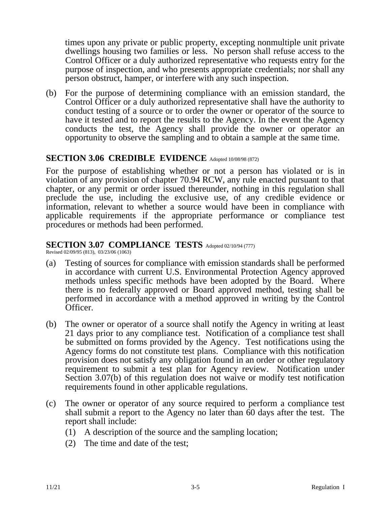times upon any private or public property, excepting nonmultiple unit private dwellings housing two families or less. No person shall refuse access to the Control Officer or a duly authorized representative who requests entry for the purpose of inspection, and who presents appropriate credentials; nor shall any person obstruct, hamper, or interfere with any such inspection.

(b) For the purpose of determining compliance with an emission standard, the Control Officer or a duly authorized representative shall have the authority to conduct testing of a source or to order the owner or operator of the source to have it tested and to report the results to the Agency. In the event the Agency conducts the test, the Agency shall provide the owner or operator an opportunity to observe the sampling and to obtain a sample at the same time.

# SECTION 3.06 CREDIBLE EVIDENCE Adopted 10/08/98 (872)

For the purpose of establishing whether or not a person has violated or is in violation of any provision of chapter 70.94 RCW, any rule enacted pursuant to that chapter, or any permit or order issued thereunder, nothing in this regulation shall preclude the use, including the exclusive use, of any credible evidence or information, relevant to whether a source would have been in compliance with applicable requirements if the appropriate performance or compliance test procedures or methods had been performed.

# SECTION 3.07 COMPLIANCE TESTS Adopted 02/10/94 (777)

Revised 02/09/95 (813), 03/23/06 (1063)

- (a) Testing of sources for compliance with emission standards shall be performed in accordance with current U.S. Environmental Protection Agency approved methods unless specific methods have been adopted by the Board. Where there is no federally approved or Board approved method, testing shall be performed in accordance with a method approved in writing by the Control Officer.
- (b) The owner or operator of a source shall notify the Agency in writing at least 21 days prior to any compliance test. Notification of a compliance test shall be submitted on forms provided by the Agency. Test notifications using the Agency forms do not constitute test plans. Compliance with this notification provision does not satisfy any obligation found in an order or other regulatory requirement to submit a test plan for Agency review. Notification under Section 3.07(b) of this regulation does not waive or modify test notification requirements found in other applicable regulations.
- (c) The owner or operator of any source required to perform a compliance test shall submit a report to the Agency no later than 60 days after the test. The report shall include:
	- (1) A description of the source and the sampling location;
	- (2) The time and date of the test;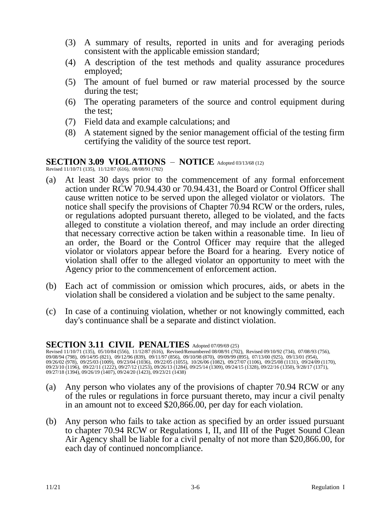- (3) A summary of results, reported in units and for averaging periods consistent with the applicable emission standard;
- (4) A description of the test methods and quality assurance procedures employed;
- (5) The amount of fuel burned or raw material processed by the source during the test;
- (6) The operating parameters of the source and control equipment during the test;
- (7) Field data and example calculations; and
- (8) A statement signed by the senior management official of the testing firm certifying the validity of the source test report.

### **SECTION 3.09 VIOLATIONS** – **NOTICE** Adopted 03/13/68 (12)

Revised 11/10/71 (135), 11/12/87 (616), 08/08/91 (702)

- (a) At least 30 days prior to the commencement of any formal enforcement action under RCW 70.94.430 or 70.94.431, the Board or Control Officer shall cause written notice to be served upon the alleged violator or violators. The notice shall specify the provisions of Chapter 70.94 RCW or the orders, rules, or regulations adopted pursuant thereto, alleged to be violated, and the facts alleged to constitute a violation thereof, and may include an order directing that necessary corrective action be taken within a reasonable time. In lieu of an order, the Board or the Control Officer may require that the alleged violator or violators appear before the Board for a hearing. Every notice of violation shall offer to the alleged violator an opportunity to meet with the Agency prior to the commencement of enforcement action.
- (b) Each act of commission or omission which procures, aids, or abets in the violation shall be considered a violation and be subject to the same penalty.
- (c) In case of a continuing violation, whether or not knowingly committed, each day's continuance shall be a separate and distinct violation.

### **SECTION 3.11 CIVIL PENALTIES** Adopted 07/09/69 (25)

Revised 11/10/71 (135), 05/10/84 (556), 11/12/87 (616), Revised/Renumbered 08/08/91 (702), Revised 09/10/92 (734), 07/08/93 (756), 09/08/94 (798), 09/14/95 (821), 09/12/96 (839), 09/11/97 (856), 09/10/98 (870), 09/09/99 (895), 07/13/00 (925), 09/13/01 (954),<br>09/26/02 (978), 09/25/03 (1009), 09/23/04 (1036), 09/22/05 (1055), 10/26/06 (1082), 09/27/07 ( 09/23/10 (1196), 09/22/11 (1222), 09/27/12 (1253), 09/26/13 (1284), 09/25/14 (1309), 09/24/15 (1328), 09/22/16 (1350), 9/28/17 (1371), 09/27/18 (1394), 09/26/19 (1407), 09/24/20 (1423), 09/23/21 (1438)

- (a) Any person who violates any of the provisions of chapter 70.94 RCW or any of the rules or regulations in force pursuant thereto, may incur a civil penalty in an amount not to exceed \$20,866.00, per day for each violation.
- (b) Any person who fails to take action as specified by an order issued pursuant to chapter 70.94 RCW or Regulations I, II, and III of the Puget Sound Clean Air Agency shall be liable for a civil penalty of not more than \$20,866.00, for each day of continued noncompliance.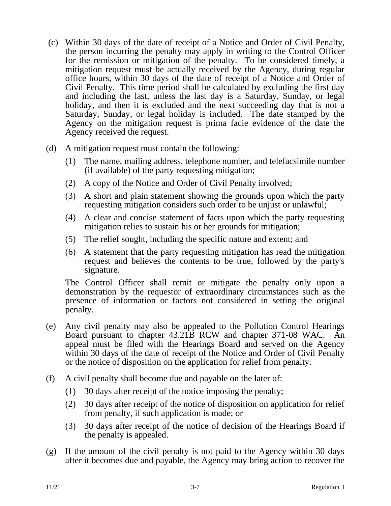- (c) Within 30 days of the date of receipt of a Notice and Order of Civil Penalty, the person incurring the penalty may apply in writing to the Control Officer for the remission or mitigation of the penalty. To be considered timely, a mitigation request must be actually received by the Agency, during regular office hours, within 30 days of the date of receipt of a Notice and Order of Civil Penalty. This time period shall be calculated by excluding the first day and including the last, unless the last day is a Saturday, Sunday, or legal holiday, and then it is excluded and the next succeeding day that is not a Saturday, Sunday, or legal holiday is included. The date stamped by the Agency on the mitigation request is prima facie evidence of the date the Agency received the request.
- (d) A mitigation request must contain the following:
	- (1) The name, mailing address, telephone number, and telefacsimile number (if available) of the party requesting mitigation;
	- (2) A copy of the Notice and Order of Civil Penalty involved;
	- (3) A short and plain statement showing the grounds upon which the party requesting mitigation considers such order to be unjust or unlawful;
	- (4) A clear and concise statement of facts upon which the party requesting mitigation relies to sustain his or her grounds for mitigation;
	- (5) The relief sought, including the specific nature and extent; and
	- (6) A statement that the party requesting mitigation has read the mitigation request and believes the contents to be true, followed by the party's signature.

The Control Officer shall remit or mitigate the penalty only upon a demonstration by the requestor of extraordinary circumstances such as the presence of information or factors not considered in setting the original penalty.

- (e) Any civil penalty may also be appealed to the Pollution Control Hearings Board pursuant to chapter 43.21B RCW and chapter 371-08 WAC. An appeal must be filed with the Hearings Board and served on the Agency within 30 days of the date of receipt of the Notice and Order of Civil Penalty or the notice of disposition on the application for relief from penalty.
- (f) A civil penalty shall become due and payable on the later of:
	- (1) 30 days after receipt of the notice imposing the penalty;
	- (2) 30 days after receipt of the notice of disposition on application for relief from penalty, if such application is made; or
	- (3) 30 days after receipt of the notice of decision of the Hearings Board if the penalty is appealed.
- (g) If the amount of the civil penalty is not paid to the Agency within 30 days after it becomes due and payable, the Agency may bring action to recover the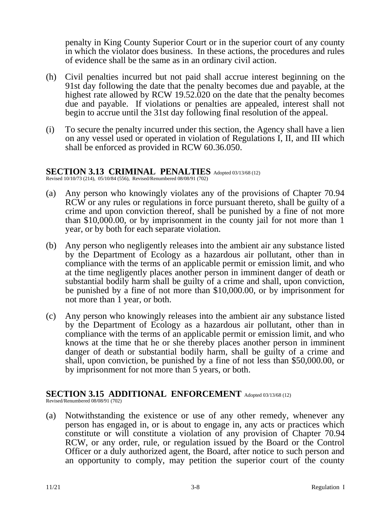penalty in King County Superior Court or in the superior court of any county in which the violator does business. In these actions, the procedures and rules of evidence shall be the same as in an ordinary civil action.

- (h) Civil penalties incurred but not paid shall accrue interest beginning on the 91st day following the date that the penalty becomes due and payable, at the highest rate allowed by RCW 19.52.020 on the date that the penalty becomes due and payable. If violations or penalties are appealed, interest shall not begin to accrue until the 31st day following final resolution of the appeal.
- (i) To secure the penalty incurred under this section, the Agency shall have a lien on any vessel used or operated in violation of Regulations I, II, and III which shall be enforced as provided in RCW 60.36.050.

### SECTION 3.13 CRIMINAL PENALTIES Adopted 03/13/68 (12)

Revised 10/10/73 (214), 05/10/84 (556), Revised/Renumbered 08/08/91 (702)

- (a) Any person who knowingly violates any of the provisions of Chapter 70.94 RCW or any rules or regulations in force pursuant thereto, shall be guilty of a crime and upon conviction thereof, shall be punished by a fine of not more than \$10,000.00, or by imprisonment in the county jail for not more than 1 year, or by both for each separate violation.
- (b) Any person who negligently releases into the ambient air any substance listed by the Department of Ecology as a hazardous air pollutant, other than in compliance with the terms of an applicable permit or emission limit, and who at the time negligently places another person in imminent danger of death or substantial bodily harm shall be guilty of a crime and shall, upon conviction, be punished by a fine of not more than \$10,000.00, or by imprisonment for not more than 1 year, or both.
- (c) Any person who knowingly releases into the ambient air any substance listed by the Department of Ecology as a hazardous air pollutant, other than in compliance with the terms of an applicable permit or emission limit, and who knows at the time that he or she thereby places another person in imminent danger of death or substantial bodily harm, shall be guilty of a crime and shall, upon conviction, be punished by a fine of not less than \$50,000.00, or by imprisonment for not more than 5 years, or both.

# **SECTION 3.15 ADDITIONAL ENFORCEMENT** Adopted 03/13/68 (12)

Revised/Renumbered 08/08/91 (702)

(a) Notwithstanding the existence or use of any other remedy, whenever any person has engaged in, or is about to engage in, any acts or practices which constitute or will constitute a violation of any provision of Chapter 70.94 RCW, or any order, rule, or regulation issued by the Board or the Control Officer or a duly authorized agent, the Board, after notice to such person and an opportunity to comply, may petition the superior court of the county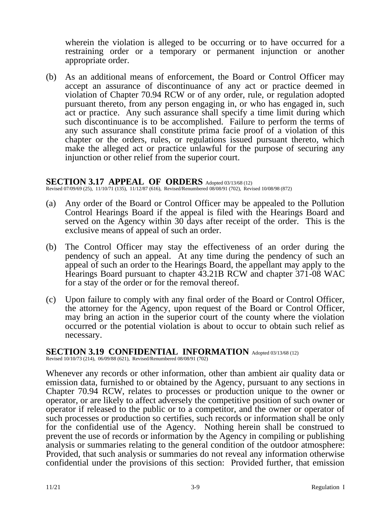wherein the violation is alleged to be occurring or to have occurred for a restraining order or a temporary or permanent injunction or another appropriate order.

(b) As an additional means of enforcement, the Board or Control Officer may accept an assurance of discontinuance of any act or practice deemed in violation of Chapter 70.94 RCW or of any order, rule, or regulation adopted pursuant thereto, from any person engaging in, or who has engaged in, such act or practice. Any such assurance shall specify a time limit during which such discontinuance is to be accomplished. Failure to perform the terms of any such assurance shall constitute prima facie proof of a violation of this chapter or the orders, rules, or regulations issued pursuant thereto, which make the alleged act or practice unlawful for the purpose of securing any injunction or other relief from the superior court.

### **SECTION 3.17 APPEAL OF ORDERS** Adopted 03/13/68 (12)

Revised 07/09/69 (25), 11/10/71 (135), 11/12/87 (616), Revised/Renumbered 08/08/91 (702), Revised 10/08/98 (872)

- (a) Any order of the Board or Control Officer may be appealed to the Pollution Control Hearings Board if the appeal is filed with the Hearings Board and served on the Agency within 30 days after receipt of the order. This is the exclusive means of appeal of such an order.
- (b) The Control Officer may stay the effectiveness of an order during the pendency of such an appeal. At any time during the pendency of such an appeal of such an order to the Hearings Board, the appellant may apply to the Hearings Board pursuant to chapter 43.21B RCW and chapter 371-08 WAC for a stay of the order or for the removal thereof.
- (c) Upon failure to comply with any final order of the Board or Control Officer, the attorney for the Agency, upon request of the Board or Control Officer, may bring an action in the superior court of the county where the violation occurred or the potential violation is about to occur to obtain such relief as necessary.

### **SECTION 3.19 CONFIDENTIAL INFORMATION** Adopted 03/13/68 (12)

Revised  $10/10/73$  (214), 06/09/88 (621), Revised/Renumbered 08/08/91 (702)

Whenever any records or other information, other than ambient air quality data or emission data, furnished to or obtained by the Agency, pursuant to any sections in Chapter 70.94 RCW, relates to processes or production unique to the owner or operator, or are likely to affect adversely the competitive position of such owner or operator if released to the public or to a competitor, and the owner or operator of such processes or production so certifies, such records or information shall be only for the confidential use of the Agency. Nothing herein shall be construed to prevent the use of records or information by the Agency in compiling or publishing analysis or summaries relating to the general condition of the outdoor atmosphere: Provided, that such analysis or summaries do not reveal any information otherwise confidential under the provisions of this section: Provided further, that emission